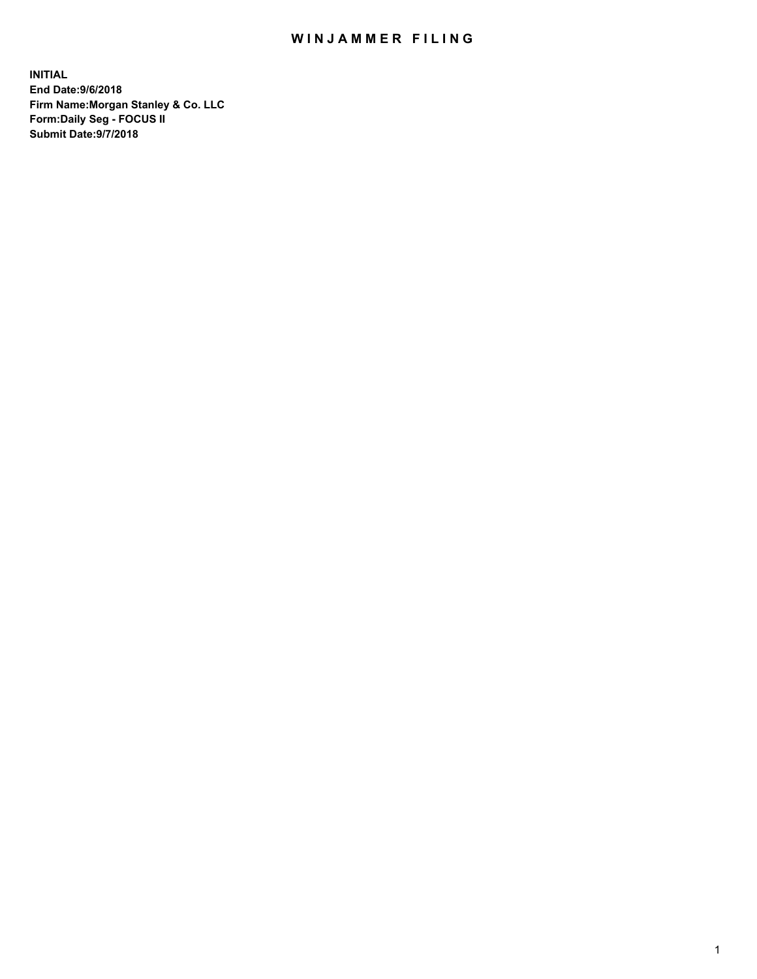## WIN JAMMER FILING

**INITIAL End Date:9/6/2018 Firm Name:Morgan Stanley & Co. LLC Form:Daily Seg - FOCUS II Submit Date:9/7/2018**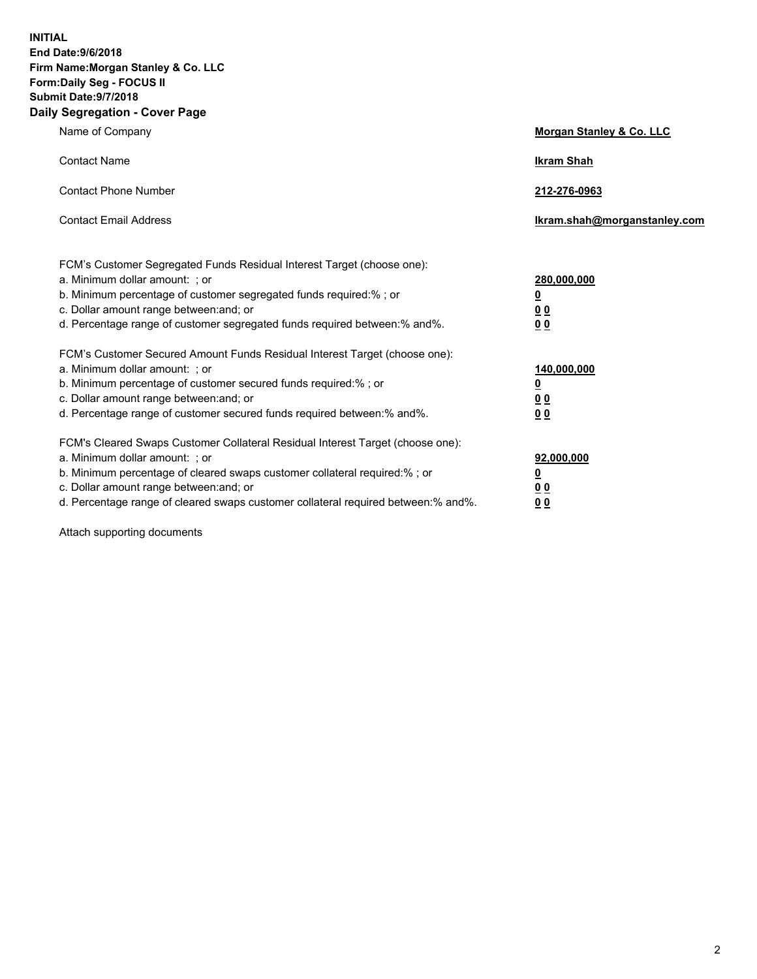**INITIAL End Date:9/6/2018 Firm Name:Morgan Stanley & Co. LLC Form:Daily Seg - FOCUS II Submit Date:9/7/2018 Daily Segregation - Cover Page**

| Name of Company                                                                                                                                                                                                                                                                                                                | Morgan Stanley & Co. LLC                        |
|--------------------------------------------------------------------------------------------------------------------------------------------------------------------------------------------------------------------------------------------------------------------------------------------------------------------------------|-------------------------------------------------|
| <b>Contact Name</b>                                                                                                                                                                                                                                                                                                            | <b>Ikram Shah</b>                               |
| <b>Contact Phone Number</b>                                                                                                                                                                                                                                                                                                    | 212-276-0963                                    |
| <b>Contact Email Address</b>                                                                                                                                                                                                                                                                                                   | Ikram.shah@morganstanley.com                    |
| FCM's Customer Segregated Funds Residual Interest Target (choose one):<br>a. Minimum dollar amount: ; or<br>b. Minimum percentage of customer segregated funds required:% ; or<br>c. Dollar amount range between: and; or<br>d. Percentage range of customer segregated funds required between:% and%.                         | 280,000,000<br><u>0</u><br><u>00</u><br>00      |
| FCM's Customer Secured Amount Funds Residual Interest Target (choose one):<br>a. Minimum dollar amount: ; or<br>b. Minimum percentage of customer secured funds required:% ; or<br>c. Dollar amount range between: and; or<br>d. Percentage range of customer secured funds required between: % and %.                         | 140,000,000<br><u>0</u><br>0 <sub>0</sub><br>00 |
| FCM's Cleared Swaps Customer Collateral Residual Interest Target (choose one):<br>a. Minimum dollar amount: ; or<br>b. Minimum percentage of cleared swaps customer collateral required:% ; or<br>c. Dollar amount range between: and; or<br>d. Percentage range of cleared swaps customer collateral required between:% and%. | 92,000,000<br><u>0</u><br>0 Q<br>0 <sub>0</sub> |

Attach supporting documents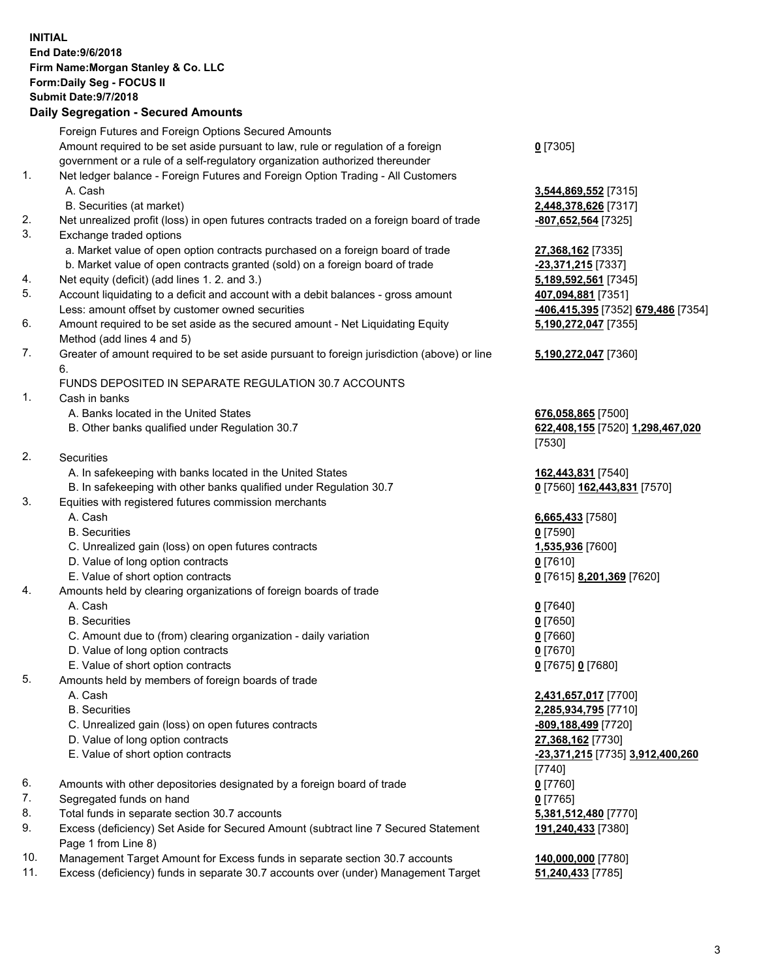## **INITIAL End Date:9/6/2018 Firm Name:Morgan Stanley & Co. LLC Form:Daily Seg - FOCUS II Submit Date:9/7/2018 Daily Segregation - Secured Amounts** Foreign Futures and Foreign Options Secured Amounts Amount required to be set aside pursuant to law, rule or regulation of a foreign government or a rule of a self-regulatory organization authorized thereunder **0** [7305] 1. Net ledger balance - Foreign Futures and Foreign Option Trading - All Customers A. Cash **3,544,869,552** [7315] B. Securities (at market) **2,448,378,626** [7317] 2. Net unrealized profit (loss) in open futures contracts traded on a foreign board of trade **-807,652,564** [7325] 3. Exchange traded options a. Market value of open option contracts purchased on a foreign board of trade **27,368,162** [7335] b. Market value of open contracts granted (sold) on a foreign board of trade **-23,371,215** [7337] 4. Net equity (deficit) (add lines 1. 2. and 3.) **5,189,592,561** [7345] 5. Account liquidating to a deficit and account with a debit balances - gross amount **407,094,881** [7351] Less: amount offset by customer owned securities **-406,415,395** [7352] **679,486** [7354] 6. Amount required to be set aside as the secured amount - Net Liquidating Equity Method (add lines 4 and 5) 7. Greater of amount required to be set aside pursuant to foreign jurisdiction (above) or line 6. FUNDS DEPOSITED IN SEPARATE REGULATION 30.7 ACCOUNTS 1. Cash in banks A. Banks located in the United States **676,058,865** [7500] B. Other banks qualified under Regulation 30.7 **622,408,155** [7520] **1,298,467,020** 2. Securities A. In safekeeping with banks located in the United States **162,443,831** [7540] B. In safekeeping with other banks qualified under Regulation 30.7 **0** [7560] **162,443,831** [7570] 3. Equities with registered futures commission merchants A. Cash **6,665,433** [7580] B. Securities **0** [7590] C. Unrealized gain (loss) on open futures contracts **1,535,936** [7600] D. Value of long option contracts **0** [7610] E. Value of short option contracts **0** [7615] **8,201,369** [7620] 4. Amounts held by clearing organizations of foreign boards of trade A. Cash **0** [7640] B. Securities **0** [7650] C. Amount due to (from) clearing organization - daily variation **0** [7660] D. Value of long option contracts **0** [7670] E. Value of short option contracts **0** [7675] **0** [7680] 5. Amounts held by members of foreign boards of trade A. Cash **2,431,657,017** [7700] B. Securities **2,285,934,795** [7710] C. Unrealized gain (loss) on open futures contracts **-809,188,499** [7720] D. Value of long option contracts **27,368,162** [7730] E. Value of short option contracts **-23,371,215** [7735] **3,912,400,260** 6. Amounts with other depositories designated by a foreign board of trade **0** [7760] 7. Segregated funds on hand **0** [7765] 8. Total funds in separate section 30.7 accounts **5,381,512,480** [7770] 9. Excess (deficiency) Set Aside for Secured Amount (subtract line 7 Secured Statement Page 1 from Line 8)

- 10. Management Target Amount for Excess funds in separate section 30.7 accounts **140,000,000** [7780]
- 11. Excess (deficiency) funds in separate 30.7 accounts over (under) Management Target **51,240,433** [7785]

**5,190,272,047** [7355] **5,190,272,047** [7360]

[7530]

[7740] **191,240,433** [7380]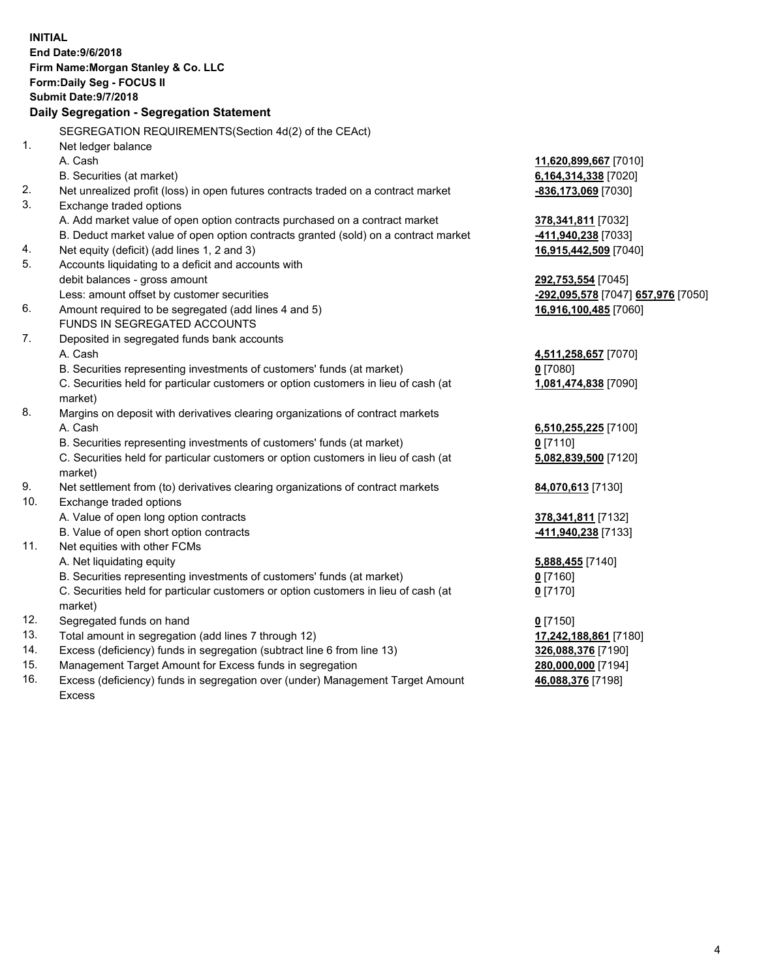|           | <b>INITIAL</b><br>End Date: 9/6/2018<br>Firm Name: Morgan Stanley & Co. LLC<br><b>Form:Daily Seg - FOCUS II</b> |                                                              |
|-----------|-----------------------------------------------------------------------------------------------------------------|--------------------------------------------------------------|
|           | <b>Submit Date: 9/7/2018</b>                                                                                    |                                                              |
|           | Daily Segregation - Segregation Statement                                                                       |                                                              |
|           | SEGREGATION REQUIREMENTS(Section 4d(2) of the CEAct)                                                            |                                                              |
| 1.        | Net ledger balance                                                                                              |                                                              |
|           | A. Cash                                                                                                         | 11,620,899,667 [7010]                                        |
|           | B. Securities (at market)                                                                                       | 6,164,314,338 [7020]                                         |
| 2.        | Net unrealized profit (loss) in open futures contracts traded on a contract market                              | <u>-836,173,069</u> [7030]                                   |
| 3.        | Exchange traded options                                                                                         |                                                              |
|           | A. Add market value of open option contracts purchased on a contract market                                     | <u>378,341,811</u> [7032]                                    |
|           | B. Deduct market value of open option contracts granted (sold) on a contract market                             | 411,940,238 [7033]                                           |
| 4.        | Net equity (deficit) (add lines 1, 2 and 3)                                                                     | 16,915,442,509 [7040]                                        |
| 5.        | Accounts liquidating to a deficit and accounts with                                                             |                                                              |
|           | debit balances - gross amount                                                                                   | 292,753,554 [7045]                                           |
| 6.        | Less: amount offset by customer securities                                                                      | <mark>-292,095,578</mark> [7047] <mark>657,976</mark> [7050] |
|           | Amount required to be segregated (add lines 4 and 5)<br>FUNDS IN SEGREGATED ACCOUNTS                            | 16,916,100,485 [7060]                                        |
| 7.        | Deposited in segregated funds bank accounts                                                                     |                                                              |
|           | A. Cash                                                                                                         |                                                              |
|           | B. Securities representing investments of customers' funds (at market)                                          | <u>4,511,258,657</u> [7070]<br>$0$ [7080]                    |
|           | C. Securities held for particular customers or option customers in lieu of cash (at                             | 1,081,474,838 [7090]                                         |
|           | market)                                                                                                         |                                                              |
| 8.        | Margins on deposit with derivatives clearing organizations of contract markets                                  |                                                              |
|           | A. Cash                                                                                                         | 6,510,255,225 [7100]                                         |
|           | B. Securities representing investments of customers' funds (at market)                                          | <u>0</u> [7110]                                              |
|           | C. Securities held for particular customers or option customers in lieu of cash (at                             | 5,082,839,500 [7120]                                         |
|           | market)                                                                                                         |                                                              |
| 9.<br>10. | Net settlement from (to) derivatives clearing organizations of contract markets                                 | 84,070,613 [7130]                                            |
|           | Exchange traded options<br>A. Value of open long option contracts                                               |                                                              |
|           |                                                                                                                 | <u>378,341,811</u> [7132]<br>-411,940,238 [7133]             |
| 11.       | B. Value of open short option contracts<br>Net equities with other FCMs                                         |                                                              |
|           | A. Net liquidating equity                                                                                       | 5,888,455 [7140]                                             |
|           | B. Securities representing investments of customers' funds (at market)                                          | $0$ [7160]                                                   |
|           | C. Securities held for particular customers or option customers in lieu of cash (at                             | $0$ [7170]                                                   |
|           | market)                                                                                                         |                                                              |
| 12.       | Segregated funds on hand                                                                                        | $0$ [7150]                                                   |
| 13.       | Total amount in segregation (add lines 7 through 12)                                                            | 17,242,188,861 [7180]                                        |
| 14.       | Excess (deficiency) funds in segregation (subtract line 6 from line 13)                                         | 326,088,376 [7190]                                           |
| 15.       | Management Target Amount for Excess funds in segregation                                                        | 280,000,000 [7194]                                           |

16. Excess (deficiency) funds in segregation over (under) Management Target Amount Excess

**46,088,376** [7198]